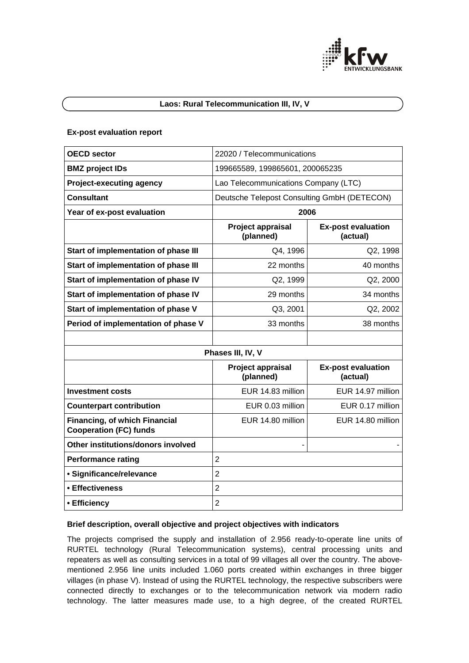

# **Laos: Rural Telecommunication III, IV, V**

#### **Ex-post evaluation report**

| <b>OECD sector</b>                                             | 22020 / Telecommunications                  |                                       |
|----------------------------------------------------------------|---------------------------------------------|---------------------------------------|
| <b>BMZ</b> project IDs                                         | 199665589, 199865601, 200065235             |                                       |
| <b>Project-executing agency</b>                                | Lao Telecommunications Company (LTC)        |                                       |
| <b>Consultant</b>                                              | Deutsche Telepost Consulting GmbH (DETECON) |                                       |
| Year of ex-post evaluation                                     | 2006                                        |                                       |
|                                                                | Project appraisal<br>(planned)              | <b>Ex-post evaluation</b><br>(actual) |
| Start of implementation of phase III                           | Q4, 1996                                    | Q2, 1998                              |
| Start of implementation of phase III                           | 22 months                                   | 40 months                             |
| Start of implementation of phase IV                            | Q2, 1999                                    | Q2, 2000                              |
| Start of implementation of phase IV                            | 29 months                                   | 34 months                             |
| Start of implementation of phase V                             | Q3, 2001                                    | Q2, 2002                              |
| Period of implementation of phase V                            | 33 months                                   | 38 months                             |
|                                                                |                                             |                                       |
| Phases III, IV, V                                              |                                             |                                       |
|                                                                | Project appraisal<br>(planned)              | <b>Ex-post evaluation</b><br>(actual) |
| <b>Investment costs</b>                                        | EUR 14.83 million                           | EUR 14.97 million                     |
| <b>Counterpart contribution</b>                                | EUR 0.03 million                            | EUR 0.17 million                      |
| Financing, of which Financial<br><b>Cooperation (FC) funds</b> | EUR 14.80 million                           | EUR 14.80 million                     |
| Other institutions/donors involved                             |                                             |                                       |
| <b>Performance rating</b>                                      | $\overline{2}$                              |                                       |
| · Significance/relevance                                       | $\overline{2}$                              |                                       |
| • Effectiveness                                                | $\overline{2}$                              |                                       |
| • Efficiency                                                   | $\overline{2}$                              |                                       |

## **Brief description, overall objective and project objectives with indicators**

The projects comprised the supply and installation of 2.956 ready-to-operate line units of RURTEL technology (Rural Telecommunication systems), central processing units and repeaters as well as consulting services in a total of 99 villages all over the country. The abovementioned 2.956 line units included 1.060 ports created within exchanges in three bigger villages (in phase V). Instead of using the RURTEL technology, the respective subscribers were connected directly to exchanges or to the telecommunication network via modern radio technology. The latter measures made use, to a high degree, of the created RURTEL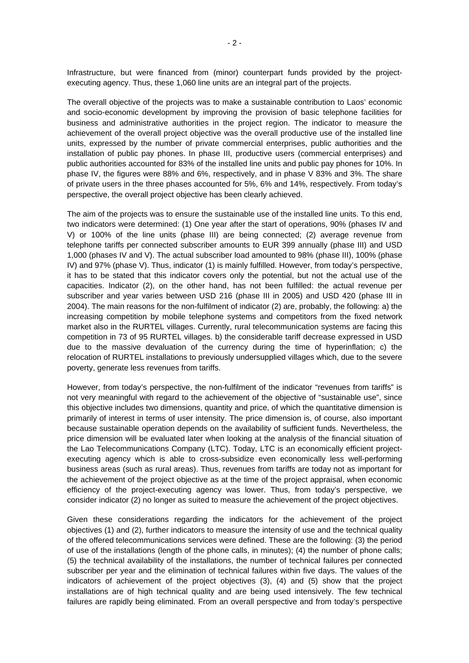Infrastructure, but were financed from (minor) counterpart funds provided by the projectexecuting agency. Thus, these 1,060 line units are an integral part of the projects.

The overall objective of the projects was to make a sustainable contribution to Laos' economic and socio-economic development by improving the provision of basic telephone facilities for business and administrative authorities in the project region. The indicator to measure the achievement of the overall project objective was the overall productive use of the installed line units, expressed by the number of private commercial enterprises, public authorities and the installation of public pay phones. In phase III, productive users (commercial enterprises) and public authorities accounted for 83% of the installed line units and public pay phones for 10%. In phase IV, the figures were 88% and 6%, respectively, and in phase V 83% and 3%. The share of private users in the three phases accounted for 5%, 6% and 14%, respectively. From today's perspective, the overall project objective has been clearly achieved.

The aim of the projects was to ensure the sustainable use of the installed line units. To this end, two indicators were determined: (1) One year after the start of operations, 90% (phases IV and V) or 100% of the line units (phase III) are being connected; (2) average revenue from telephone tariffs per connected subscriber amounts to EUR 399 annually (phase III) and USD 1,000 (phases IV and V). The actual subscriber load amounted to 98% (phase III), 100% (phase IV) and 97% (phase V). Thus, indicator (1) is mainly fulfilled. However, from today's perspective, it has to be stated that this indicator covers only the potential, but not the actual use of the capacities. Indicator (2), on the other hand, has not been fulfilled: the actual revenue per subscriber and year varies between USD 216 (phase III in 2005) and USD 420 (phase III in 2004). The main reasons for the non-fulfilment of indicator (2) are, probably, the following: a) the increasing competition by mobile telephone systems and competitors from the fixed network market also in the RURTEL villages. Currently, rural telecommunication systems are facing this competition in 73 of 95 RURTEL villages. b) the considerable tariff decrease expressed in USD due to the massive devaluation of the currency during the time of hyperinflation; c) the relocation of RURTEL installations to previously undersupplied villages which, due to the severe poverty, generate less revenues from tariffs.

However, from today's perspective, the non-fulfilment of the indicator "revenues from tariffs" is not very meaningful with regard to the achievement of the objective of "sustainable use", since this objective includes two dimensions, quantity and price, of which the quantitative dimension is primarily of interest in terms of user intensity. The price dimension is, of course, also important because sustainable operation depends on the availability of sufficient funds. Nevertheless, the price dimension will be evaluated later when looking at the analysis of the financial situation of the Lao Telecommunications Company (LTC). Today, LTC is an economically efficient projectexecuting agency which is able to cross-subsidize even economically less well-performing business areas (such as rural areas). Thus, revenues from tariffs are today not as important for the achievement of the project objective as at the time of the project appraisal, when economic efficiency of the project-executing agency was lower. Thus, from today's perspective, we consider indicator (2) no longer as suited to measure the achievement of the project objectives.

Given these considerations regarding the indicators for the achievement of the project objectives (1) and (2), further indicators to measure the intensity of use and the technical quality of the offered telecommunications services were defined. These are the following: (3) the period of use of the installations (length of the phone calls, in minutes); (4) the number of phone calls; (5) the technical availability of the installations, the number of technical failures per connected subscriber per year and the elimination of technical failures within five days. The values of the indicators of achievement of the project objectives (3), (4) and (5) show that the project installations are of high technical quality and are being used intensively. The few technical failures are rapidly being eliminated. From an overall perspective and from today's perspective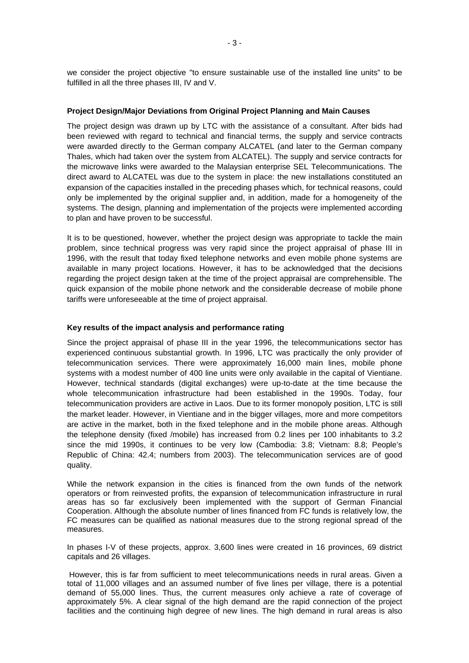we consider the project objective "to ensure sustainable use of the installed line units" to be fulfilled in all the three phases III, IV and V.

#### **Project Design/Major Deviations from Original Project Planning and Main Causes**

The project design was drawn up by LTC with the assistance of a consultant. After bids had been reviewed with regard to technical and financial terms, the supply and service contracts were awarded directly to the German company ALCATEL (and later to the German company Thales, which had taken over the system from ALCATEL). The supply and service contracts for the microwave links were awarded to the Malaysian enterprise SEL Telecommunications. The direct award to ALCATEL was due to the system in place: the new installations constituted an expansion of the capacities installed in the preceding phases which, for technical reasons, could only be implemented by the original supplier and, in addition, made for a homogeneity of the systems. The design, planning and implementation of the projects were implemented according to plan and have proven to be successful.

It is to be questioned, however, whether the project design was appropriate to tackle the main problem, since technical progress was very rapid since the project appraisal of phase III in 1996, with the result that today fixed telephone networks and even mobile phone systems are available in many project locations. However, it has to be acknowledged that the decisions regarding the project design taken at the time of the project appraisal are comprehensible. The quick expansion of the mobile phone network and the considerable decrease of mobile phone tariffs were unforeseeable at the time of project appraisal.

## **Key results of the impact analysis and performance rating**

Since the project appraisal of phase III in the year 1996, the telecommunications sector has experienced continuous substantial growth. In 1996, LTC was practically the only provider of telecommunication services. There were approximately 16,000 main lines, mobile phone systems with a modest number of 400 line units were only available in the capital of Vientiane. However, technical standards (digital exchanges) were up-to-date at the time because the whole telecommunication infrastructure had been established in the 1990s. Today, four telecommunication providers are active in Laos. Due to its former monopoly position, LTC is still the market leader. However, in Vientiane and in the bigger villages, more and more competitors are active in the market, both in the fixed telephone and in the mobile phone areas. Although the telephone density (fixed /mobile) has increased from 0.2 lines per 100 inhabitants to 3.2 since the mid 1990s, it continues to be very low (Cambodia: 3.8; Vietnam: 8.8; People's Republic of China: 42.4; numbers from 2003). The telecommunication services are of good quality.

While the network expansion in the cities is financed from the own funds of the network operators or from reinvested profits, the expansion of telecommunication infrastructure in rural areas has so far exclusively been implemented with the support of German Financial Cooperation. Although the absolute number of lines financed from FC funds is relatively low, the FC measures can be qualified as national measures due to the strong regional spread of the measures.

In phases I-V of these projects, approx. 3,600 lines were created in 16 provinces, 69 district capitals and 26 villages.

 However, this is far from sufficient to meet telecommunications needs in rural areas. Given a total of 11,000 villages and an assumed number of five lines per village, there is a potential demand of 55,000 lines. Thus, the current measures only achieve a rate of coverage of approximately 5%. A clear signal of the high demand are the rapid connection of the project facilities and the continuing high degree of new lines. The high demand in rural areas is also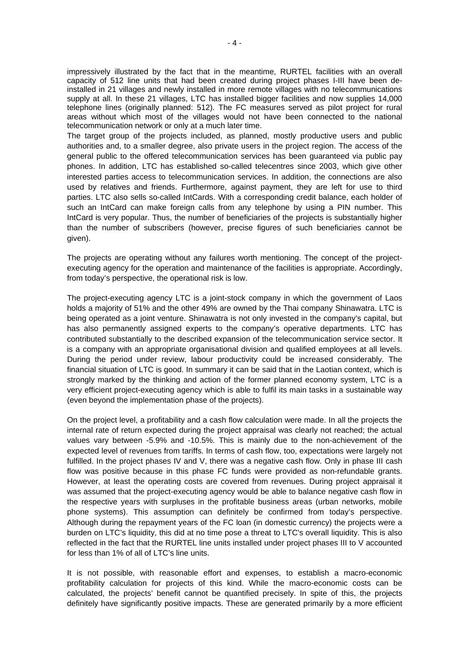impressively illustrated by the fact that in the meantime, RURTEL facilities with an overall capacity of 512 line units that had been created during project phases I-III have been deinstalled in 21 villages and newly installed in more remote villages with no telecommunications supply at all. In these 21 villages, LTC has installed bigger facilities and now supplies 14,000 telephone lines (originally planned: 512). The FC measures served as pilot project for rural areas without which most of the villages would not have been connected to the national telecommunication network or only at a much later time.

The target group of the projects included, as planned, mostly productive users and public authorities and, to a smaller degree, also private users in the project region. The access of the general public to the offered telecommunication services has been guaranteed via public pay phones. In addition, LTC has established so-called telecentres since 2003, which give other interested parties access to telecommunication services. In addition, the connections are also used by relatives and friends. Furthermore, against payment, they are left for use to third parties. LTC also sells so-called IntCards. With a corresponding credit balance, each holder of such an IntCard can make foreign calls from any telephone by using a PIN number. This IntCard is very popular. Thus, the number of beneficiaries of the projects is substantially higher than the number of subscribers (however, precise figures of such beneficiaries cannot be given).

The projects are operating without any failures worth mentioning. The concept of the projectexecuting agency for the operation and maintenance of the facilities is appropriate. Accordingly, from today's perspective, the operational risk is low.

The project-executing agency LTC is a joint-stock company in which the government of Laos holds a majority of 51% and the other 49% are owned by the Thai company Shinawatra. LTC is being operated as a joint venture. Shinawatra is not only invested in the company's capital, but has also permanently assigned experts to the company's operative departments. LTC has contributed substantially to the described expansion of the telecommunication service sector. It is a company with an appropriate organisational division and qualified employees at all levels. During the period under review, labour productivity could be increased considerably. The financial situation of LTC is good. In summary it can be said that in the Laotian context, which is strongly marked by the thinking and action of the former planned economy system, LTC is a very efficient project-executing agency which is able to fulfil its main tasks in a sustainable way (even beyond the implementation phase of the projects).

On the project level, a profitability and a cash flow calculation were made. In all the projects the internal rate of return expected during the project appraisal was clearly not reached; the actual values vary between -5.9% and -10.5%. This is mainly due to the non-achievement of the expected level of revenues from tariffs. In terms of cash flow, too, expectations were largely not fulfilled. In the project phases IV and V, there was a negative cash flow. Only in phase III cash flow was positive because in this phase FC funds were provided as non-refundable grants. However, at least the operating costs are covered from revenues. During project appraisal it was assumed that the project-executing agency would be able to balance negative cash flow in the respective years with surpluses in the profitable business areas (urban networks, mobile phone systems). This assumption can definitely be confirmed from today's perspective. Although during the repayment years of the FC loan (in domestic currency) the projects were a burden on LTC's liquidity, this did at no time pose a threat to LTC's overall liquidity. This is also reflected in the fact that the RURTEL line units installed under project phases III to V accounted for less than 1% of all of LTC's line units.

It is not possible, with reasonable effort and expenses, to establish a macro-economic profitability calculation for projects of this kind. While the macro-economic costs can be calculated, the projects' benefit cannot be quantified precisely. In spite of this, the projects definitely have significantly positive impacts. These are generated primarily by a more efficient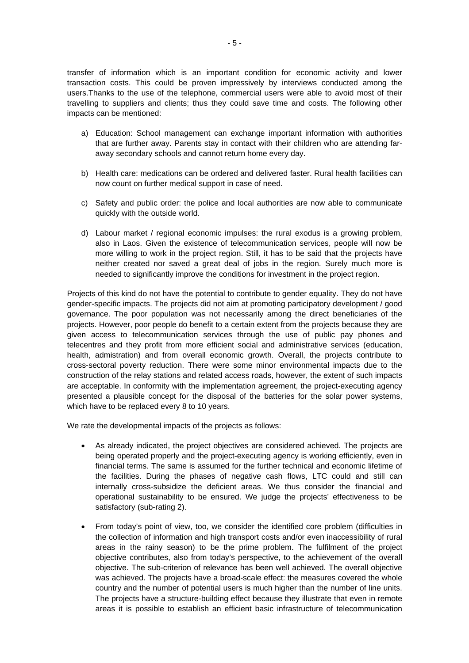transfer of information which is an important condition for economic activity and lower transaction costs. This could be proven impressively by interviews conducted among the users.Thanks to the use of the telephone, commercial users were able to avoid most of their travelling to suppliers and clients; thus they could save time and costs. The following other impacts can be mentioned:

- a) Education: School management can exchange important information with authorities that are further away. Parents stay in contact with their children who are attending faraway secondary schools and cannot return home every day.
- b) Health care: medications can be ordered and delivered faster. Rural health facilities can now count on further medical support in case of need.
- c) Safety and public order: the police and local authorities are now able to communicate quickly with the outside world.
- d) Labour market / regional economic impulses: the rural exodus is a growing problem, also in Laos. Given the existence of telecommunication services, people will now be more willing to work in the project region. Still, it has to be said that the projects have neither created nor saved a great deal of jobs in the region. Surely much more is needed to significantly improve the conditions for investment in the project region.

Projects of this kind do not have the potential to contribute to gender equality. They do not have gender-specific impacts. The projects did not aim at promoting participatory development / good governance. The poor population was not necessarily among the direct beneficiaries of the projects. However, poor people do benefit to a certain extent from the projects because they are given access to telecommunication services through the use of public pay phones and telecentres and they profit from more efficient social and administrative services (education, health, admistration) and from overall economic growth. Overall, the projects contribute to cross-sectoral poverty reduction. There were some minor environmental impacts due to the construction of the relay stations and related access roads, however, the extent of such impacts are acceptable. In conformity with the implementation agreement, the project-executing agency presented a plausible concept for the disposal of the batteries for the solar power systems, which have to be replaced every 8 to 10 years.

We rate the developmental impacts of the projects as follows:

- As already indicated, the project objectives are considered achieved. The projects are being operated properly and the project-executing agency is working efficiently, even in financial terms. The same is assumed for the further technical and economic lifetime of the facilities. During the phases of negative cash flows, LTC could and still can internally cross-subsidize the deficient areas. We thus consider the financial and operational sustainability to be ensured. We judge the projects' effectiveness to be satisfactory (sub-rating 2).
- From today's point of view, too, we consider the identified core problem (difficulties in the collection of information and high transport costs and/or even inaccessibility of rural areas in the rainy season) to be the prime problem. The fulfilment of the project objective contributes, also from today's perspective, to the achievement of the overall objective. The sub-criterion of relevance has been well achieved. The overall objective was achieved. The projects have a broad-scale effect: the measures covered the whole country and the number of potential users is much higher than the number of line units. The projects have a structure-building effect because they illustrate that even in remote areas it is possible to establish an efficient basic infrastructure of telecommunication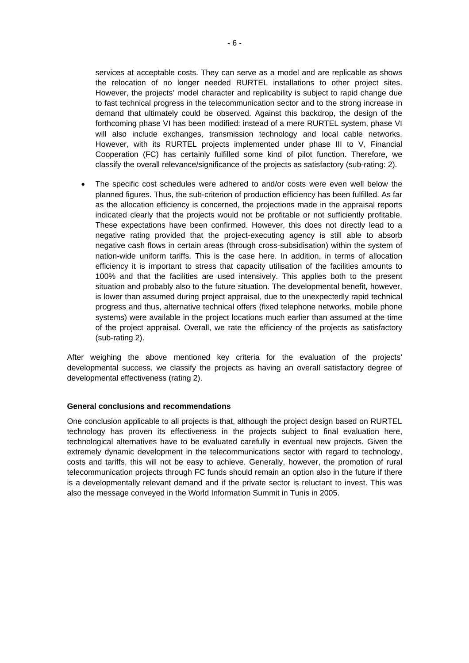services at acceptable costs. They can serve as a model and are replicable as shows the relocation of no longer needed RURTEL installations to other project sites. However, the projects' model character and replicability is subject to rapid change due to fast technical progress in the telecommunication sector and to the strong increase in demand that ultimately could be observed. Against this backdrop, the design of the forthcoming phase VI has been modified: instead of a mere RURTEL system, phase VI will also include exchanges, transmission technology and local cable networks. However, with its RURTEL projects implemented under phase III to V, Financial Cooperation (FC) has certainly fulfilled some kind of pilot function. Therefore, we classify the overall relevance/significance of the projects as satisfactory (sub-rating: 2).

The specific cost schedules were adhered to and/or costs were even well below the planned figures. Thus, the sub-criterion of production efficiency has been fulfilled. As far as the allocation efficiency is concerned, the projections made in the appraisal reports indicated clearly that the projects would not be profitable or not sufficiently profitable. These expectations have been confirmed. However, this does not directly lead to a negative rating provided that the project-executing agency is still able to absorb negative cash flows in certain areas (through cross-subsidisation) within the system of nation-wide uniform tariffs. This is the case here. In addition, in terms of allocation efficiency it is important to stress that capacity utilisation of the facilities amounts to 100% and that the facilities are used intensively. This applies both to the present situation and probably also to the future situation. The developmental benefit, however, is lower than assumed during project appraisal, due to the unexpectedly rapid technical progress and thus, alternative technical offers (fixed telephone networks, mobile phone systems) were available in the project locations much earlier than assumed at the time of the project appraisal. Overall, we rate the efficiency of the projects as satisfactory (sub-rating 2).

After weighing the above mentioned key criteria for the evaluation of the projects' developmental success, we classify the projects as having an overall satisfactory degree of developmental effectiveness (rating 2).

#### **General conclusions and recommendations**

One conclusion applicable to all projects is that, although the project design based on RURTEL technology has proven its effectiveness in the projects subject to final evaluation here, technological alternatives have to be evaluated carefully in eventual new projects. Given the extremely dynamic development in the telecommunications sector with regard to technology, costs and tariffs, this will not be easy to achieve. Generally, however, the promotion of rural telecommunication projects through FC funds should remain an option also in the future if there is a developmentally relevant demand and if the private sector is reluctant to invest. This was also the message conveyed in the World Information Summit in Tunis in 2005.